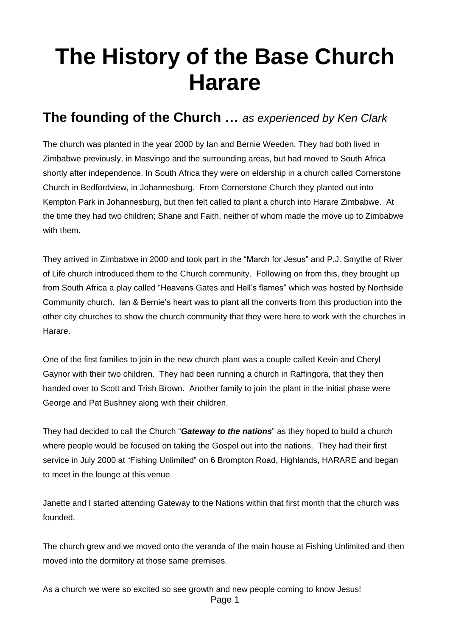## **The History of the Base Church Harare**

## **The founding of the Church …** *as experienced by Ken Clark*

The church was planted in the year 2000 by Ian and Bernie Weeden. They had both lived in Zimbabwe previously, in Masvingo and the surrounding areas, but had moved to South Africa shortly after independence. In South Africa they were on eldership in a church called Cornerstone Church in Bedfordview, in Johannesburg. From Cornerstone Church they planted out into Kempton Park in Johannesburg, but then felt called to plant a church into Harare Zimbabwe. At the time they had two children; Shane and Faith, neither of whom made the move up to Zimbabwe with them.

They arrived in Zimbabwe in 2000 and took part in the "March for Jesus" and P.J. Smythe of River of Life church introduced them to the Church community. Following on from this, they brought up from South Africa a play called "Heavens Gates and Hell's flames" which was hosted by Northside Community church. Ian & Bernie's heart was to plant all the converts from this production into the other city churches to show the church community that they were here to work with the churches in Harare.

One of the first families to join in the new church plant was a couple called Kevin and Cheryl Gaynor with their two children. They had been running a church in Raffingora, that they then handed over to Scott and Trish Brown. Another family to join the plant in the initial phase were George and Pat Bushney along with their children.

They had decided to call the Church "*Gateway to the nations*" as they hoped to build a church where people would be focused on taking the Gospel out into the nations. They had their first service in July 2000 at "Fishing Unlimited" on 6 Brompton Road, Highlands, HARARE and began to meet in the lounge at this venue.

Janette and I started attending Gateway to the Nations within that first month that the church was founded.

The church grew and we moved onto the veranda of the main house at Fishing Unlimited and then moved into the dormitory at those same premises.

Page 1 As a church we were so excited so see growth and new people coming to know Jesus!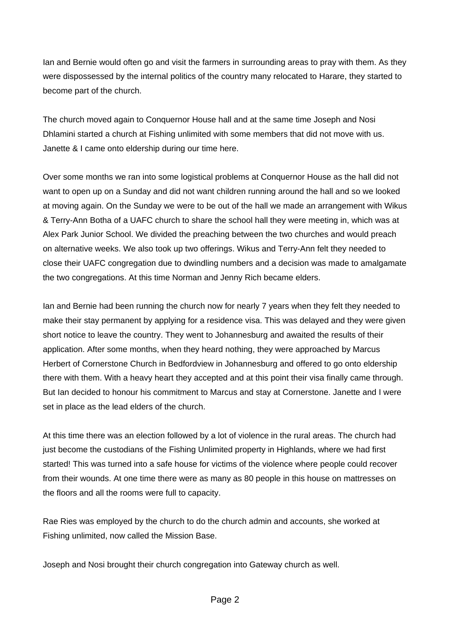Ian and Bernie would often go and visit the farmers in surrounding areas to pray with them. As they were dispossessed by the internal politics of the country many relocated to Harare, they started to become part of the church.

The church moved again to Conquernor House hall and at the same time Joseph and Nosi Dhlamini started a church at Fishing unlimited with some members that did not move with us. Janette & I came onto eldership during our time here.

Over some months we ran into some logistical problems at Conquernor House as the hall did not want to open up on a Sunday and did not want children running around the hall and so we looked at moving again. On the Sunday we were to be out of the hall we made an arrangement with Wikus & Terry-Ann Botha of a UAFC church to share the school hall they were meeting in, which was at Alex Park Junior School. We divided the preaching between the two churches and would preach on alternative weeks. We also took up two offerings. Wikus and Terry-Ann felt they needed to close their UAFC congregation due to dwindling numbers and a decision was made to amalgamate the two congregations. At this time Norman and Jenny Rich became elders.

Ian and Bernie had been running the church now for nearly 7 years when they felt they needed to make their stay permanent by applying for a residence visa. This was delayed and they were given short notice to leave the country. They went to Johannesburg and awaited the results of their application. After some months, when they heard nothing, they were approached by Marcus Herbert of Cornerstone Church in Bedfordview in Johannesburg and offered to go onto eldership there with them. With a heavy heart they accepted and at this point their visa finally came through. But Ian decided to honour his commitment to Marcus and stay at Cornerstone. Janette and I were set in place as the lead elders of the church.

At this time there was an election followed by a lot of violence in the rural areas. The church had just become the custodians of the Fishing Unlimited property in Highlands, where we had first started! This was turned into a safe house for victims of the violence where people could recover from their wounds. At one time there were as many as 80 people in this house on mattresses on the floors and all the rooms were full to capacity.

Rae Ries was employed by the church to do the church admin and accounts, she worked at Fishing unlimited, now called the Mission Base.

Joseph and Nosi brought their church congregation into Gateway church as well.